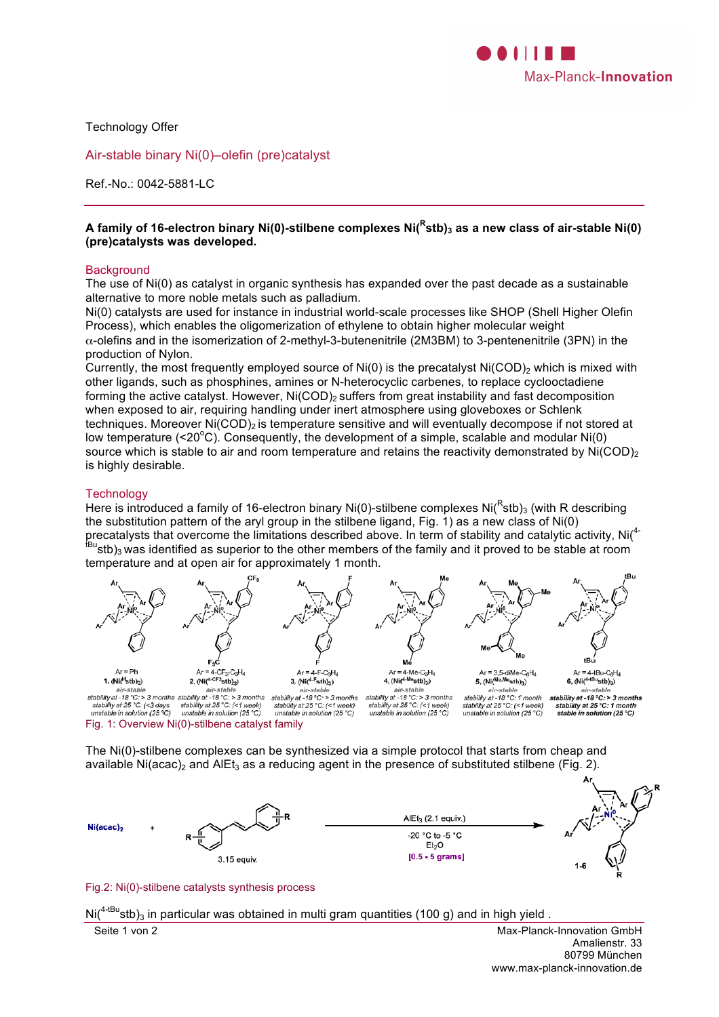

Technology Offer

Air-stable binary Ni(0)–olefin (pre)catalyst

Ref.-No.: 0042-5881-LC

### **A family of 16-electron binary Ni(0)-stilbene complexes Ni(<sup>R</sup> stb)3 as a new class of air-stable Ni(0) (pre)catalysts was developed.**

#### **Background**

The use of Ni(0) as catalyst in organic synthesis has expanded over the past decade as a sustainable alternative to more noble metals such as palladium.

Ni(0) catalysts are used for instance in industrial world-scale processes like SHOP (Shell Higher Olefin Process), which enables the oligomerization of ethylene to obtain higher molecular weight α-olefins and in the isomerization of 2-methyl-3-butenenitrile (2M3BM) to 3-pentenenitrile (3PN) in the production of Nylon.

Currently, the most frequently employed source of  $Ni(0)$  is the precatalyst  $Ni(COD)_{2}$  which is mixed with other ligands, such as phosphines, amines or N-heterocyclic carbenes, to replace cyclooctadiene forming the active catalyst. However,  $Ni(COD)_{2}$  suffers from great instability and fast decomposition when exposed to air, requiring handling under inert atmosphere using gloveboxes or Schlenk techniques. Moreover Ni(COD)<sub>2</sub> is temperature sensitive and will eventually decompose if not stored at low temperature (<20 $^{\circ}$ C). Consequently, the development of a simple, scalable and modular Ni(0) source which is stable to air and room temperature and retains the reactivity demonstrated by Ni(COD)<sub>2</sub> is highly desirable.

### **Technology**

Here is introduced a family of 16-electron binary Ni(0)-stilbene complexes Ni( $R$ stb)<sub>3</sub> (with R describing the substitution pattern of the aryl group in the stilbene ligand, Fig. 1) as a new class of Ni(0) precatalysts that overcome the limitations described above. In term of stability and catalytic activity, Ni(<sup>4-</sup>  $t_{\text{Bu}}$ stb)<sub>3</sub> was identified as superior to the other members of the family and it proved to be stable at room temperature and at open air for approximately 1 month.



Fig. 1: Overview Ni(0)-stilbene catalyst family

The Ni(0)-stilbene complexes can be synthesized via a simple protocol that starts from cheap and available Ni(acac)<sub>2</sub> and AlEt<sub>3</sub> as a reducing agent in the presence of substituted stilbene (Fig. 2).



Fig.2: Ni(0)-stilbene catalysts synthesis process

 $\text{Ni}(4\text{·Bu} \cdot \text{stb})_3$  in particular was obtained in multi gram quantities (100 g) and in high yield.

Seite 1 von 2 Max-Planck-Innovation GmbH Amalienstr. 33 80799 München www.max-planck-innovation.de